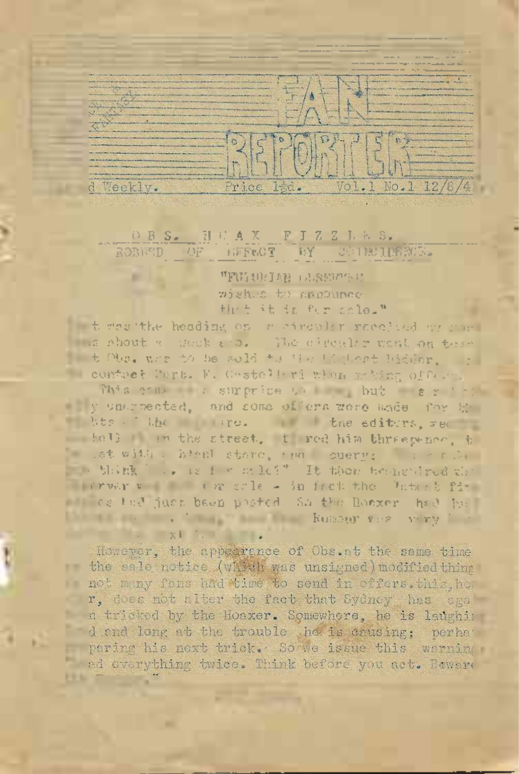# ROBBED OF

eek

and the latest for the said

F.

"FULLOTER LASSER'S C wished by ancounce High it is fur sclo."

to the the heading on a streaker received or mans ma shout a week and. The circular went on term t t Obe. when to be sold to the indicat bidder. In - contret Pert. F. Cestelleri winn webing office.

This come a surprice to hat er to www.gnarected, and some offers were made for the which the true the editors, we have the the U in the street, I red him threewhee, t s at with a high stare, and suerge a series we which he is i would?" It then beenevired the survey v ( ) ( ) we sale - in fact the Unterb fix of the last just base posted as the Board had hell The masses of the masses of the Russer very first

However, the appearance of Obs.at the same time the sale notice (which was unsigned) modified thing not many fous had time to send in offers. this home r, does not alter the fact that Sydney has sea a tricked by the Hoaxer. Somewhere, he is ladghin d and long at the trouble he is crusing; perhat paring his next trick. So we issue this warning ed overything twice. Think before you act. Bewere **FEW TO**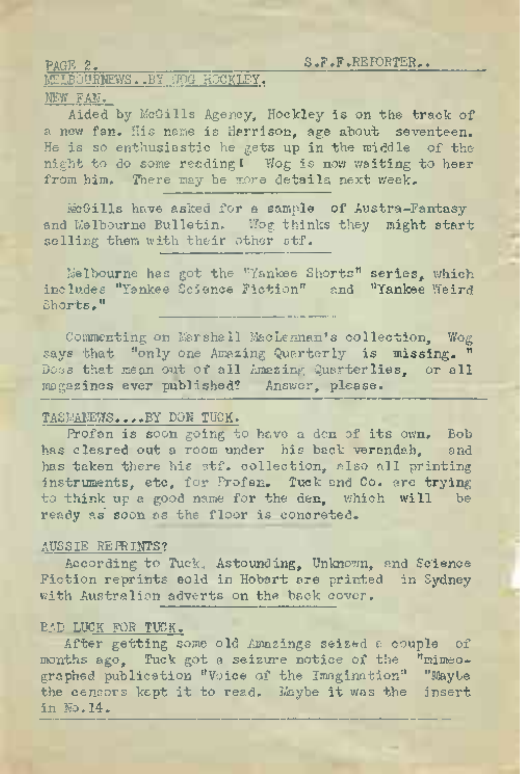**TIBOURNEWS. .BY WOG HOCKLEY.** 

## NEW FAN.

Aided by McGills Agency, Hockley is on the track of a new fan. His name is Herrison, age about seventeen. He is so enthusiastic he gets up in the middle of the night to do some reading I Wog is now waiting to hear from him. There may be more details next week.

McGills have asked for a sample of Austra-Fantasy and Melbourne Bulletin. Hog thinks they might start selling them with their other stf.

. Melbourne has got the "Yankee Shorts" series, which includes ''Yankee Science Fiction" and ''Yankee Weird Shorts."

Commenting on Marshall MacLennan's collection, Wog says that "only one Amazing Quarterly is missing. Does that mean out of all Amazing Quarterlies, or all magazines.ever published? Answer-, please.

#### TASMA1WS....BY DON TUCK.

Profan is soon going to have <sup>a</sup> den of its own. Bob has cleared out a room under his back verandah, and has taken there his stf. collection, also all printing instruments, etc, for Profan. Tuck'and Co. are trying to think up a good name for the den, which will be ready as' soon as the floor is concreted.

#### AUSSIE REPRINTS?

According to Tuck., Astounding, Unknown, and Science Fiction reprints sold in Hobart are printed in Sydney with Australian adverts on the back cover.

## BAD LUCK FOR TUCK.

After getting some old Amazings seized a couple of<br>ths ago. Tuck got a seizure notice of the "mimeomonths ago. Tuck got a seizure notice of the graphed publication "Voice of the Imagination" "Maybe the censors kept it to read. Maybe it was the insert in No.14.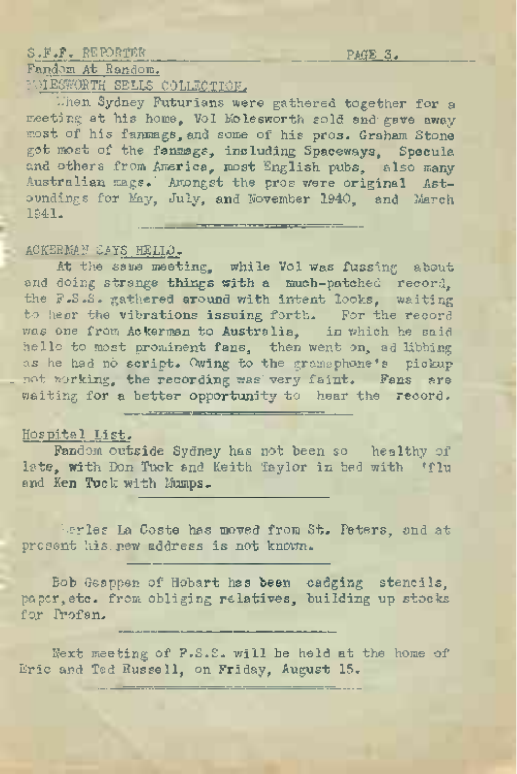## S.F.F. REPORTER PAGE *3.*

## Fandom At Random. **NIESWORTH SELLS COLLECTION.**

L'hen Sydney Futurians were gathered together for a meeting at his home. Vol Molesworth sold and gave away most of his fanmags, and some of his pros. Graham Stone got most of the fanmags, including Spaceways, Specula and others from America, most English pubs, also many Australian mags.' Amongst the pros were original Astoundings for May, July, and November 1940, and March 1941. <u>an ann an t-an gu a gcois</u>

## ACKERMAN SAYS HELLO.

At the same meeting, while Vol was fussing about and doing strange things with a much-patched record, the F.S.S. gathered around with intent looks, waiting to hear the vibrations issuing forth. For the record was one from Ackerman to Australia, in which he said hello to. most prominent fans, then went on, ad libbing as he had nd script. Owing to the gramophone's pickup not working, the recording was very faint. Fans are waiting for a better opportunity to hear the record.

## Hospital List.

Fandom outside Sydney has not been so healthy of late, with Don Tuck and Keith Taylor in bed with 'flu and Ken Tuck with Mumps.

herles La Coste has moved from St. Peters, and at present his.new address is not known.

Bob Geappen of Hobart has been cadging stencils, paper,etc. from obliging relatives, building up stocks for Profan.

Next meeting of F.S.S. will be held at the home of Eric and Ted Russell, on Friday, August 15.